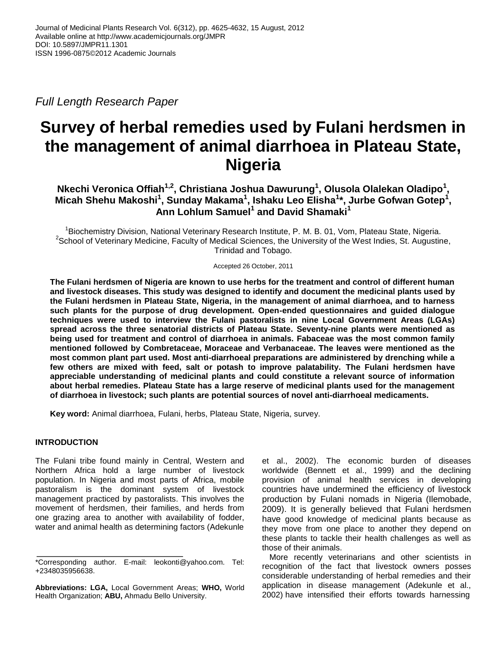*Full Length Research Paper*

# **Survey of herbal remedies used by Fulani herdsmen in the management of animal diarrhoea in Plateau State, Nigeria**

**Nkechi Veronica Offiah1,2, Christiana Joshua Dawurung<sup>1</sup> , Olusola Olalekan Oladipo<sup>1</sup> , Micah Shehu Makoshi<sup>1</sup> , Sunday Makama<sup>1</sup> , Ishaku Leo Elisha<sup>1</sup> \*, Jurbe Gofwan Gotep<sup>1</sup> , Ann Lohlum Samuel<sup>1</sup> and David Shamaki<sup>1</sup>**

<sup>1</sup>Biochemistry Division, National Veterinary Research Institute, P. M. B. 01, Vom, Plateau State, Nigeria. <sup>2</sup>School of Veterinary Medicine, Faculty of Medical Sciences, the University of the West Indies, St. Augustine, Trinidad and Tobago.

Accepted 26 October, 2011

**The Fulani herdsmen of Nigeria are known to use herbs for the treatment and control of different human and livestock diseases. This study was designed to identify and document the medicinal plants used by the Fulani herdsmen in Plateau State, Nigeria, in the management of animal diarrhoea, and to harness such plants for the purpose of drug development. Open-ended questionnaires and guided dialogue techniques were used to interview the Fulani pastoralists in nine Local Government Areas (LGAs) spread across the three senatorial districts of Plateau State. Seventy-nine plants were mentioned as being used for treatment and control of diarrhoea in animals. Fabaceae was the most common family mentioned followed by Combretaceae, Moraceae and Verbanaceae. The leaves were mentioned as the most common plant part used. Most anti-diarrhoeal preparations are administered by drenching while a few others are mixed with feed, salt or potash to improve palatability. The Fulani herdsmen have appreciable understanding of medicinal plants and could constitute a relevant source of information about herbal remedies. Plateau State has a large reserve of medicinal plants used for the management of diarrhoea in livestock; such plants are potential sources of novel anti-diarrhoeal medicaments.**

**Key word:** Animal diarrhoea, Fulani, herbs, Plateau State, Nigeria, survey.

## **INTRODUCTION**

The Fulani tribe found mainly in Central, Western and Northern Africa hold a large number of livestock population. In Nigeria and most parts of Africa, mobile pastoralism is the dominant system of livestock management practiced by pastoralists. This involves the movement of herdsmen, their families, and herds from one grazing area to another with availability of fodder, water and animal health as determining factors (Adekunle

et al., 2002). The economic burden of diseases worldwide (Bennett et al., 1999) and the declining provision of animal health services in developing countries have undermined the efficiency of livestock production by Fulani nomads in Nigeria (Ilemobade, 2009). It is generally believed that Fulani herdsmen have good knowledge of medicinal plants because as they move from one place to another they depend on these plants to tackle their health challenges as well as those of their animals.

More recently veterinarians and other scientists in recognition of the fact that livestock owners posses considerable understanding of herbal remedies and their application in disease management (Adekunle et al., 2002) have intensified their efforts towards harnessing

<sup>\*</sup>Corresponding author. E-mail: leokonti@yahoo.com. Tel: +2348035956638.

**Abbreviations: LGA,** Local Government Areas; **WHO,** World Health Organization; **ABU,** Ahmadu Bello University.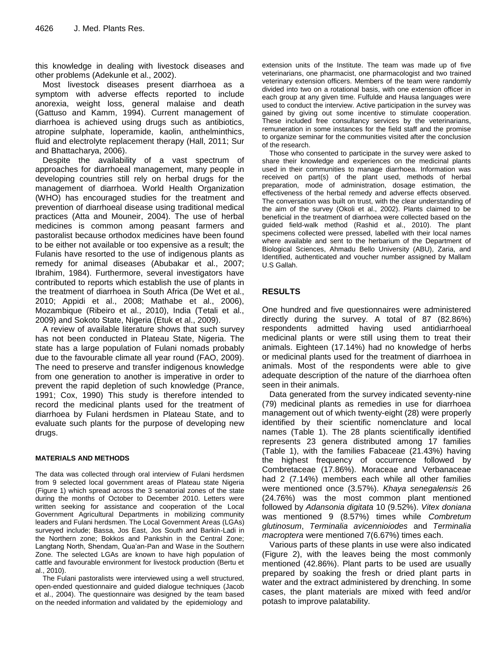this knowledge in dealing with livestock diseases and other problems (Adekunle et al., 2002).

Most livestock diseases present diarrhoea as a symptom with adverse effects reported to include anorexia, weight loss, general malaise and death (Gattuso and Kamm, 1994). Current management of diarrhoea is achieved using drugs such as antibiotics, atropine sulphate, loperamide, kaolin, anthelminthics, fluid and electrolyte replacement therapy (Hall, 2011; Sur and Bhattacharya, 2006).

Despite the availability of a vast spectrum of approaches for diarrhoeal management, many people in developing countries still rely on herbal drugs for the management of diarrhoea. World Health Organization (WHO) has encouraged studies for the treatment and prevention of diarrhoeal disease using traditional medical practices (Atta and Mouneir, 2004). The use of herbal medicines is common among peasant farmers and pastoralist because orthodox medicines have been found to be either not available or too expensive as a result; the Fulanis have resorted to the use of indigenous plants as remedy for animal diseases (Abubakar et al., 2007; Ibrahim, 1984). Furthermore, several investigators have contributed to reports which establish the use of plants in the treatment of diarrhoea in South Africa (De Wet et al., 2010; Appidi et al., 2008; Mathabe et al., 2006), Mozambique (Ribeiro et al., 2010), India (Tetali et al., 2009) and Sokoto State, Nigeria (Etuk et al., 2009).

A review of available literature shows that such survey has not been conducted in Plateau State, Nigeria. The state has a large population of Fulani nomads probably due to the favourable climate all year round (FAO, 2009). The need to preserve and transfer indigenous knowledge from one generation to another is imperative in order to prevent the rapid depletion of such knowledge (Prance, 1991; Cox, 1990) This study is therefore intended to record the medicinal plants used for the treatment of diarrhoea by Fulani herdsmen in Plateau State, and to evaluate such plants for the purpose of developing new drugs.

#### **MATERIALS AND METHODS**

The data was collected through oral interview of Fulani herdsmen from 9 selected local government areas of Plateau state Nigeria (Figure 1) which spread across the 3 senatorial zones of the state during the months of October to December 2010. Letters were written seeking for assistance and cooperation of the Local Government Agricultural Departments in mobilizing community leaders and Fulani herdsmen. The Local Government Areas (LGAs) surveyed include; Bassa, Jos East, Jos South and Barkin-Ladi in the Northern zone; Bokkos and Pankshin in the Central Zone; Langtang North, Shendam, Qua"an-Pan and Wase in the Southern Zone. The selected LGAs are known to have high population of cattle and favourable environment for livestock production (Bertu et al., 2010).

The Fulani pastoralists were interviewed using a well structured, open-ended questionnaire and guided dialogue techniques (Jacob et al., 2004). The questionnaire was designed by the team based on the needed information and validated by the epidemiology and

extension units of the Institute. The team was made up of five veterinarians, one pharmacist, one pharmacologist and two trained veterinary extension officers. Members of the team were randomly divided into two on a rotational basis, with one extension officer in each group at any given time. Fulfulde and Hausa languages were used to conduct the interview. Active participation in the survey was gained by giving out some incentive to stimulate cooperation. These included free consultancy services by the veterinarians, remuneration in some instances for the field staff and the promise to organize seminar for the communities visited after the conclusion of the research.

Those who consented to participate in the survey were asked to share their knowledge and experiences on the medicinal plants used in their communities to manage diarrhoea. Information was received on part(s) of the plant used, methods of herbal preparation, mode of administration, dosage estimation, the effectiveness of the herbal remedy and adverse effects observed. The conversation was built on trust, with the clear understanding of the aim of the survey (Okoli et al., 2002). Plants claimed to be beneficial in the treatment of diarrhoea were collected based on the guided field-walk method (Rashid et al., 2010). The plant specimens collected were pressed, labelled with their local names where available and sent to the herbarium of the Department of Biological Sciences, Ahmadu Bello University (ABU), Zaria, and Identified, authenticated and voucher number assigned by Mallam U.S Gallah.

# **RESULTS**

One hundred and five questionnaires were administered directly during the survey. A total of 87 (82.86%) respondents admitted having used antidiarrhoeal medicinal plants or were still using them to treat their animals. Eighteen (17.14%) had no knowledge of herbs or medicinal plants used for the treatment of diarrhoea in animals. Most of the respondents were able to give adequate description of the nature of the diarrhoea often seen in their animals.

Data generated from the survey indicated seventy-nine (79) medicinal plants as remedies in use for diarrhoea management out of which twenty-eight (28) were properly identified by their scientific nomenclature and local names (Table 1). The 28 plants scientifically identified represents 23 genera distributed among 17 families (Table 1), with the families Fabaceae (21.43%) having the highest frequency of occurrence followed by Combretaceae (17.86%). Moraceae and Verbanaceae had 2 (7.14%) members each while all other families were mentioned once (3.57%). *Khaya senegalensis* 26 (24.76%) was the most common plant mentioned followed by *Adansonia digitata* 10 (9.52%). *Vitex doniana*  was mentioned 9 (8.57%) times while *Combretum glutinosum*, *Terminalia avicennioiodes* and *Terminalia macroptera* were mentioned 7(6.67%) times each.

Various parts of these plants in use were also indicated (Figure 2), with the leaves being the most commonly mentioned (42.86%). Plant parts to be used are usually prepared by soaking the fresh or dried plant parts in water and the extract administered by drenching. In some cases, the plant materials are mixed with feed and/or potash to improve palatability.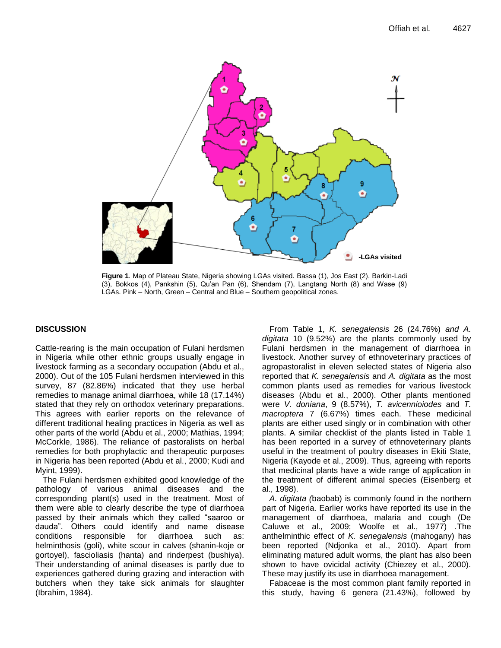

**Figure 1**. Map of Plateau State, Nigeria showing LGAs visited. Bassa (1), Jos East (2), Barkin-Ladi (3), Bokkos (4), Pankshin (5), Qu"an Pan (6), Shendam (7), Langtang North (8) and Wase (9) LGAs. Pink – North, Green – Central and Blue – Southern geopolitical zones.

## **DISCUSSION**

Cattle-rearing is the main occupation of Fulani herdsmen in Nigeria while other ethnic groups usually engage in livestock farming as a secondary occupation (Abdu et al., 2000). Out of the 105 Fulani herdsmen interviewed in this survey, 87 (82.86%) indicated that they use herbal remedies to manage animal diarrhoea, while 18 (17.14%) stated that they rely on orthodox veterinary preparations. This agrees with earlier reports on the relevance of different traditional healing practices in Nigeria as well as other parts of the world (Abdu et al., 2000; Mathias, 1994; McCorkle, 1986). The reliance of pastoralists on herbal remedies for both prophylactic and therapeutic purposes in Nigeria has been reported (Abdu et al., 2000; Kudi and Myint, 1999).

The Fulani herdsmen exhibited good knowledge of the pathology of various animal diseases and the corresponding plant(s) used in the treatment. Most of them were able to clearly describe the type of diarrhoea passed by their animals which they called "saaroo or dauda". Others could identify and name disease conditions responsible for diarrhoea such as: helminthosis (goli), white scour in calves (shanin-koje or gortoyel), fascioliasis (hanta) and rinderpest (bushiya). Their understanding of animal diseases is partly due to experiences gathered during grazing and interaction with butchers when they take sick animals for slaughter (Ibrahim, 1984).

From Table [1,](http://www.biomedcentral.com/qc/1746-6148/7/36/table/T1) *K. senegalensis* 26 (24.76%) *and A. digitata* 10 (9.52%) are the plants commonly used by Fulani herdsmen in the management of diarrhoea in livestock. Another survey of ethnoveterinary practices of agropastoralist in eleven selected states of Nigeria also reported that *K. senegalensis* and *A. digitata* as the most common plants used as remedies for various livestock diseases (Abdu et al., 2000). Other plants mentioned were *V. doniana*, 9 (8.57%), *T. avicennioiodes* and *T. macroptera* 7 (6.67%) times each. These medicinal plants are either used singly or in combination with other plants. A similar checklist of the plants listed in Table 1 has been reported in a survey of ethnoveterinary plants useful in the treatment of poultry diseases in Ekiti State, Nigeria (Kayode et al., 2009). Thus, agreeing with reports that medicinal plants have a wide range of application in the treatment of different animal species (Eisenberg et al., 1998).

*A. digitata (*baobab) is commonly found in the northern part of Nigeria. Earlier works have reported its use in the management of diarrhoea, malaria and cough (De Caluwe et al., 2009; Woolfe et al., 1977) .The anthelminthic effect of *K. senegalensis* (mahogany) has been reported (Ndjonka et al., 2010). Apart from eliminating matured adult worms, the plant has also been shown to have ovicidal activity (Chiezey et al., 2000). These may justify its use in diarrhoea management.

Fabaceae is the most common plant family reported in this study, having 6 genera (21.43%), followed by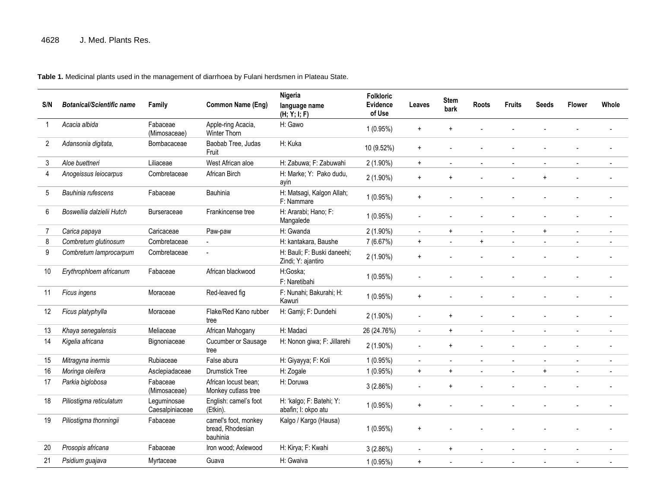## **Table 1.** Medicinal plants used in the management of diarrhoea by Fulani herdsmen in Plateau State.

| S/N            | <b>Botanical/Scientific name</b> | Family                         | Common Name (Eng)                                    | Nigeria<br>language name<br>(H; Y; I; F)          | <b>Folkloric</b><br><b>Evidence</b><br>of Use | Leaves                           | <b>Stem</b><br>bark | <b>Roots</b> | <b>Fruits</b>            | <b>Seeds</b>   | <b>Flower</b> | Whole |
|----------------|----------------------------------|--------------------------------|------------------------------------------------------|---------------------------------------------------|-----------------------------------------------|----------------------------------|---------------------|--------------|--------------------------|----------------|---------------|-------|
| $\mathbf{1}$   | Acacia albida                    | Fabaceae<br>(Mimosaceae)       | Apple-ring Acacia,<br>Winter Thorn                   | H: Gawo                                           | $1(0.95\%)$                                   | $\ddot{}$                        | $\ddot{}$           |              |                          |                |               |       |
| $\overline{2}$ | Adansonia digitata,              | Bombacaceae                    | Baobab Tree, Judas<br>Fruit                          | H: Kuka                                           | 10 (9.52%)                                    | $\ddot{}$                        |                     |              |                          |                |               |       |
| 3              | Aloe buettneri                   | Liliaceae                      | West African aloe                                    | H: Zabuwa; F: Zabuwahi                            | 2 (1.90%)                                     | $+$                              |                     |              |                          |                |               |       |
| 4              | Anogeissus leiocarpus            | Combretaceae                   | African Birch                                        | H: Marke; Y: Pako dudu,<br>avin                   | $2(1.90\%)$                                   | $\ddot{}$                        | $\ddot{}$           |              |                          | $\ddot{}$      |               |       |
| 5              | Bauhinia rufescens               | Fabaceae                       | Bauhinia                                             | H: Matsagi, Kalgon Allah;<br>F: Nammare           | $1(0.95\%)$                                   | $\ddag$                          |                     |              |                          |                |               |       |
| 6              | Boswellia dalzielii Hutch        | <b>Burseraceae</b>             | Frankincense tree                                    | H: Ararabi; Hano; F:<br>Mangalede                 | 1(0.95%)                                      | $\blacksquare$                   |                     |              |                          |                |               |       |
| 7              | Carica papaya                    | Caricaceae                     | Paw-paw                                              | H: Gwanda                                         | 2 (1.90%)                                     | $\blacksquare$                   | $\ddot{}$           |              |                          | $\ddot{}$      |               |       |
| 8              | Combretum glutinosum             | Combretaceae                   |                                                      | H: kantakara, Baushe                              | 7 (6.67%)                                     | $+$                              | $\sim$              | $+$          | $\overline{\phantom{a}}$ | $\blacksquare$ |               |       |
| 9              | Combretum lamprocarpum           | Combretaceae                   |                                                      | H: Bauli; F: Buski daneehi;<br>Zindi; Y: ajantiro | $2(1.90\%)$                                   | $\begin{array}{c} + \end{array}$ |                     |              |                          |                |               |       |
| 10             | Erythrophloem africanum          | Fabaceae                       | African blackwood                                    | H:Goska;<br>F: Naretibahi                         | 1(0.95%)                                      |                                  |                     |              |                          |                |               |       |
| 11             | Ficus ingens                     | Moraceae                       | Red-leaved fig                                       | F: Nunahi; Bakurahi; H:<br>Kawuri                 | $1(0.95\%)$                                   | $\ddot{}$                        |                     |              |                          |                |               |       |
| 12             | Ficus platyphylla                | Moraceae                       | Flake/Red Kano rubber<br>tree                        | H: Gamji; F: Dundehi                              | $2(1.90\%)$                                   |                                  | $\ddot{}$           |              |                          |                |               |       |
| 13             | Khaya senegalensis               | Meliaceae                      | African Mahogany                                     | H: Madaci                                         | 26 (24.76%)                                   | $\blacksquare$                   | $\ddot{}$           |              |                          |                |               |       |
| 14             | Kigelia africana                 | Bignoniaceae                   | Cucumber or Sausage<br>tree                          | H: Nonon giwa; F: Jillarehi                       | $2(1.90\%)$                                   | $\sim$                           | $+$                 |              |                          |                |               |       |
| 15             | Mitragyna inermis                | Rubiaceae                      | False abura                                          | H: Giyayya; F: Koli                               | 1(0.95%)                                      | $\sim$                           |                     |              |                          |                |               |       |
| 16             | Moringa oleifera                 | Asclepiadaceae                 | <b>Drumstick Tree</b>                                | H: Zogale                                         | 1(0.95%)                                      | $\ddot{}$                        | $\ddot{}$           |              |                          | $\ddot{}$      |               |       |
| 17             | Parkia biglobosa                 | Fabaceae<br>(Mimosaceae)       | African locust bean;<br>Monkey cutlass tree          | H: Doruwa                                         | 3(2.86%)                                      | $\sim$                           | $\ddot{}$           |              |                          |                |               |       |
| 18             | Piliostigma reticulatum          | Leguminosae<br>Caesalpiniaceae | English: camel's foot<br>(Etkin).                    | H: 'kalgo; F: Batehi; Y:<br>abafin; I: okpo atu   | $1(0.95\%)$                                   | $\ddot{}$                        |                     |              |                          |                |               |       |
| 19             | Piliostigma thonningii           | Fabaceae                       | camel's foot, monkey<br>bread, Rhodesian<br>bauhinia | Kalgo / Kargo (Hausa)                             | 1(0.95%)                                      | $\begin{array}{c} + \end{array}$ |                     |              |                          |                |               |       |
| 20             | Prosopis africana                | Fabaceae                       | Iron wood; Axlewood                                  | H: Kirya; F: Kwahi                                | 3(2.86%)                                      | $\overline{a}$                   | $\ddot{}$           |              |                          |                |               |       |
| 21             | Psidium guajava                  | Myrtaceae                      | Guava                                                | H: Gwaiva                                         | $1(0.95\%)$                                   | $\begin{array}{c} + \end{array}$ |                     |              |                          |                |               |       |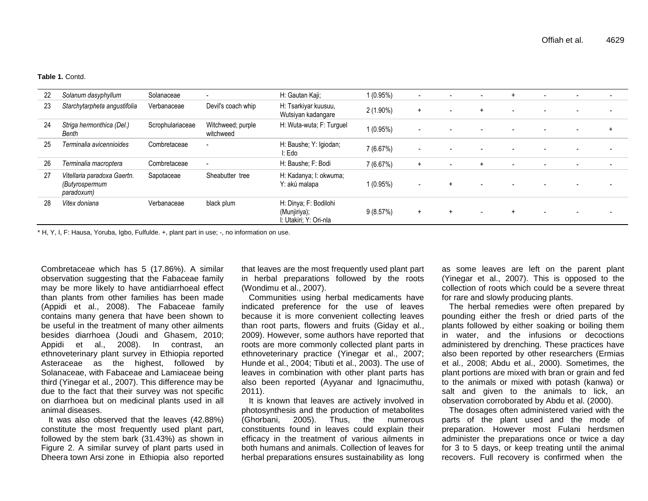#### **Table 1.** Contd.

| 22 | Solanum dasyphyllum                                         | Solanaceae       |                                | H: Gautan Kaji;                                                | 1 (0.95%)   | $\blacksquare$           | $\overline{\phantom{a}}$ |                | $\ddot{}$                | $\overline{\phantom{a}}$ | $\overline{\phantom{0}}$ |  |
|----|-------------------------------------------------------------|------------------|--------------------------------|----------------------------------------------------------------|-------------|--------------------------|--------------------------|----------------|--------------------------|--------------------------|--------------------------|--|
| 23 | Starchytarpheta angustifolia                                | Verbanaceae      | Devil's coach whip             | H: Tsarkiyar kuusuu,<br>Wutsiyan kadangare                     | $2(1.90\%)$ | $^{+}$                   | $\overline{\phantom{a}}$ |                |                          |                          |                          |  |
| 24 | Striga hermonthica (Del.)<br>Benth                          | Scrophulariaceae | Witchweed; purple<br>witchweed | H: Wuta-wuta; F: Turguel                                       | $1(0.95\%)$ | $\blacksquare$           |                          |                |                          |                          |                          |  |
| 25 | Terminalia avicennioides                                    | Combretaceae     | $\overline{\phantom{a}}$       | H: Baushe; Y: Igiodan;<br>I: Edo                               | 7(6.67%)    | $\overline{\phantom{a}}$ |                          |                |                          |                          |                          |  |
| 26 | Terminalia macroptera                                       | Combretaceae     | $\overline{\phantom{a}}$       | H: Baushe; F: Bodi                                             | 7(6.67%)    | $+$                      | $\sim$                   | $\overline{+}$ | $\overline{\phantom{0}}$ |                          | $\sim$                   |  |
| 27 | Vitellaria paradoxa Gaertn.<br>(Butyrospermum<br>paradoxum) | Sapotaceae       | Sheabutter tree                | H: Kadanya; I: okwuma;<br>Y: akú malapa                        | 1 (0.95%)   | $\sim$                   | $+$                      |                |                          |                          |                          |  |
| 28 | Vitex doniana                                               | Verbanaceae      | black plum                     | H: Dinya; F: Bodilohi<br>(Munjiriya);<br>: Utakiri; Y: Ori-nla | 9(8.57%)    | $+$                      | $+$                      |                |                          |                          |                          |  |

\* H, Y, I, F: Hausa, Yoruba, Igbo, Fulfulde. +, plant part in use; -, no information on use.

Combretaceae which has 5 (17.86%). A similar observation suggesting that the Fabaceae family may be more likely to have antidiarrhoeal effect than plants from other families has been made (Appidi et al., 2008). The Fabaceae family contains many genera that have been shown to be useful in the treatment of many other ailments besides diarrhoea (Joudi and Ghasem, 2010; Appidi et al., 2008). In contrast, an ethnoveterinary plant survey in Ethiopia reported Asteraceae as the highest, followed by Solanaceae, with Fabaceae and Lamiaceae being third (Yinegar et al., 2007). This difference may be due to the fact that their survey was not specific on diarrhoea but on medicinal plants used in all animal diseases.

It was also observed that the leaves (42.88%) constitute the most frequently used plant part, followed by the stem bark (31.43%) as shown in Figure 2. A similar survey of plant parts used in Dheera town Arsi zone in Ethiopia also reported that leaves are the most frequently used plant part in herbal preparations followed by the roots (Wondimu et al., 2007).

Communities using herbal medicaments have indicated preference for the use of leaves because it is more convenient collecting leaves than root parts, flowers and fruits (Giday et al., 2009). However, some authors have reported that roots are more commonly collected plant parts in ethnoveterinary practice (Yinegar et al., 2007; Hunde et al., 2004; Tibuti et al., 2003). The use of leaves in combination with other plant parts has also been reported (Ayyanar and Ignacimuthu, 2011).

It is known that leaves are actively involved in photosynthesis and the production of metabolites (Ghorbani, 2005). Thus, the numerous constituents found in leaves could explain their efficacy in the treatment of various ailments in both humans and animals. Collection of leaves for herbal preparations ensures sustainability as long as some leaves are left on the parent plant (Yinegar et al., 2007). This is opposed to the collection of roots which could be a severe threat for rare and slowly producing plants.

The herbal remedies were often prepared by pounding either the fresh or dried parts of the plants followed by either soaking or boiling them in water, and the infusions or decoctions administered by drenching. These practices have also been reported by other researchers (Ermias et al., 2008; Abdu et al., 2000). Sometimes, the plant portions are mixed with bran or grain and fed to the animals or mixed with potash (kanwa) or salt and given to the animals to lick, an observation corroborated by Abdu et al. (2000).

The dosages often administered varied with the parts of the plant used and the mode of preparation. However most Fulani herdsmen administer the preparations once or twice a day for 3 to 5 days, or keep treating until the animal recovers. Full recovery is confirmed when the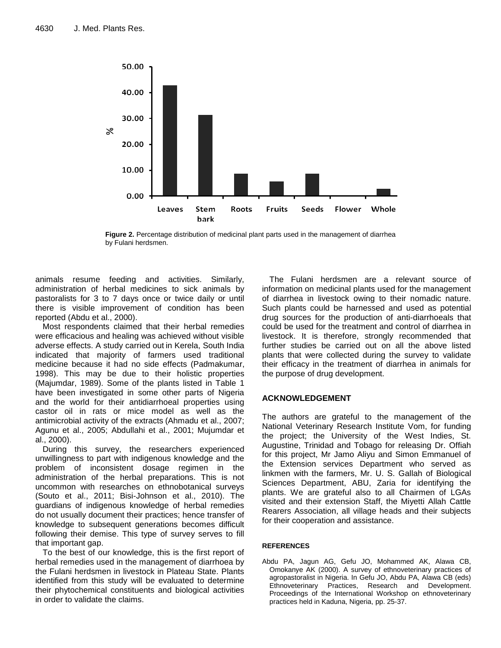

**Figure 2.** Percentage distribution of medicinal plant parts used in the management of diarrhea by Fulani herdsmen.

animals resume feeding and activities. Similarly, administration of herbal medicines to sick animals by pastoralists for 3 to 7 days once or twice daily or until there is visible improvement of condition has been reported (Abdu et al., 2000).

Most respondents claimed that their herbal remedies were efficacious and healing was achieved without visible adverse effects. A study carried out in Kerela, South India indicated that majority of farmers used traditional medicine because it had no side effects (Padmakumar, 1998). This may be due to their holistic properties (Majumdar, 1989). Some of the plants listed in Table [1](http://www.biomedcentral.com/qc/1746-6148/7/36/table/T1) have been investigated in some other parts of Nigeria and the world for their antidiarrhoeal properties using castor oil in rats or mice model as well as the antimicrobial activity of the extracts (Ahmadu et al., 2007; Agunu et al., 2005; Abdullahi et al., 2001; Mujumdar et al., 2000).

During this survey, the researchers experienced unwillingness to part with indigenous knowledge and the problem of inconsistent dosage regimen in the administration of the herbal preparations. This is not uncommon with researches on ethnobotanical surveys (Souto et al., 2011; Bisi-Johnson et al., 2010). The guardians of indigenous knowledge of herbal remedies do not usually document their practices; hence transfer of knowledge to subsequent generations becomes difficult following their demise. This type of survey serves to fill that important gap.

To the best of our knowledge, this is the first report of herbal remedies used in the management of diarrhoea by the Fulani herdsmen in livestock in Plateau State. Plants identified from this study will be evaluated to determine their phytochemical constituents and biological activities in order to validate the claims.

The Fulani herdsmen are a relevant source of information on medicinal plants used for the management of diarrhea in livestock owing to their nomadic nature. Such plants could be harnessed and used as potential drug sources for the production of anti-diarrhoeals that could be used for the treatment and control of diarrhea in livestock. It is therefore, strongly recommended that further studies be carried out on all the above listed plants that were collected during the survey to validate their efficacy in the treatment of diarrhea in animals for the purpose of drug development.

## **ACKNOWLEDGEMENT**

The authors are grateful to the management of the National Veterinary Research Institute Vom, for funding the project; the University of the West Indies, St. Augustine, Trinidad and Tobago for releasing Dr. Offiah for this project, Mr Jamo Aliyu and Simon Emmanuel of the Extension services Department who served as linkmen with the farmers, Mr. U. S. Gallah of Biological Sciences Department, ABU, Zaria for identifying the plants. We are grateful also to all Chairmen of LGAs visited and their extension Staff, the Miyetti Allah Cattle Rearers Association, all village heads and their subjects for their cooperation and assistance.

#### **REFERENCES**

Abdu PA, Jagun AG, Gefu JO, Mohammed AK, Alawa CB, Omokanye AK (2000). A survey of ethnoveterinary practices of agropastoralist in Nigeria. In Gefu JO, Abdu PA, Alawa CB (eds) Ethnoveterinary Practices, Research and Development. Proceedings of the International Workshop on ethnoveterinary practices held in Kaduna, Nigeria, pp. 25-37.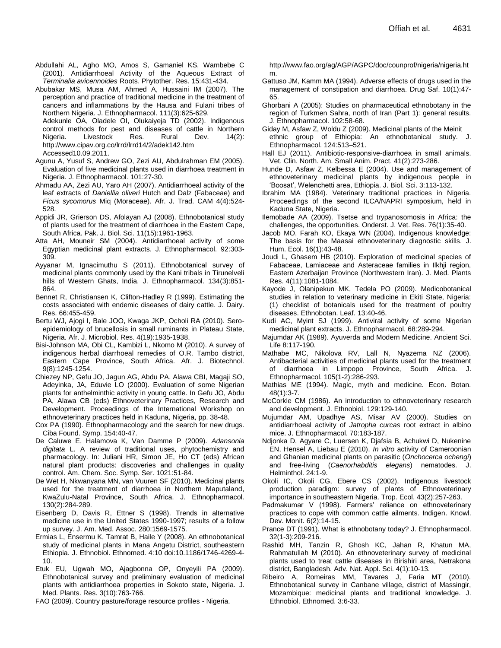- Abdullahi AL, Agho MO, Amos S, Gamaniel KS, Wambebe C (2001). Antidiarrhoeal Activity of the Aqueous Extract of *Terminalia avicennoides* Roots. Phytother. Res. 15:431-434.
- Abubakar MS, Musa AM, Ahmed A, Hussaini IM (2007). The perception and practice of traditional medicine in the treatment of cancers and inflammations by the Hausa and Fulani tribes of Northern Nigeria. J. Ethnopharmacol. 111(3):625-629.

Adekunle OA, Oladele OI, Olukaiyeja TD (2002). Indigenous control methods for pest and diseases of cattle in Northern Nigeria. Livestock Res. Rural Dev. 14(2): [http://www.cipav.org.co/lrrd/lrrd14/2/adek142.htm](http://www.lrrd.org/lrrd14/2/adek142.htm) Accessed10.09.2011.

- Agunu A, Yusuf S, Andrew GO, Zezi AU, Abdulrahman EM (2005). Evaluation of five medicinal plants used in diarrhoea treatment in Nigeria. J. Ethnopharmacol. 101:27-30.
- Ahmadu AA, Zezi AU, Yaro AH (2007). Antidiarrhoeal activity of the leaf extracts of *Daniellia oliveri* Hutch and Dalz (Fabaceae) and *Ficus sycomorus* Miq (Moraceae). Afr. J. Trad. CAM 4(4):524- 528.
- Appidi JR, Grierson DS, Afolayan AJ (2008). Ethnobotanical study of plants used for the treatment of diarrhoea in the Eastern Cape, South Africa. Pak. J. Biol. Sci. 11(15):1961-1963.
- Atta AH, Mouneir SM (2004). Antidiarrhoeal activity of some Egyptian medicinal plant extracts. J. Ethnopharmacol. 92:303- 309.
- Ayyanar M, Ignacimuthu S (2011). Ethnobotanical survey of medicinal plants commonly used by the Kani tribals in Tirunelveli hills of Western Ghats, India. J. Ethnopharmacol. 134(3):851-864.
- Bennet R, Christiansen K, Clifton-Hadley R (1999). Estimating the costs associated with endemic diseases of dairy cattle. J. Dairy. Res. 66:455-459.
- Bertu WJ, Ajogi I, Bale JOO, Kwaga JKP, Ocholi RA (2010). Seroepidemiology of brucellosis in small ruminants in Plateau State, Nigeria. Afr. J. Microbiol. Res. 4(19):1935-1938.
- Bisi-Johnson MA, Obi CL, Kambizi L, Nkomo M (2010). A survey of indigenous herbal diarrhoeal remedies of O.R. Tambo district, Eastern Cape Province, South Africa. Afr. J. Biotechnol. 9(8):1245-1254.
- Chiezey NP, Gefu JO, Jagun AG, Abdu PA, Alawa CBI, Magaji SO, Adeyinka, JA, Eduvie LO (2000). Evaluation of some Nigerian plants for anthelminthic activity in young cattle. In Gefu JO, Abdu PA, Alawa CB (eds) Ethnoveterinary Practices, Research and Development. Proceedings of the International Workshop on ethnoveterinary practices held in Kaduna, Nigeria, pp. 38-48.
- Cox PA (1990). Ethnopharmacology and the search for new drugs. Ciba Found. Symp. 154:40-47.
- De Caluwe E, Halamova K, Van Damme P (2009). *Adansonia digitata* L. A review of traditional uses, phytochemistry and pharmacology. In: Juliani HR, Simon JE, Ho CT (eds) African natural plant products: discoveries and challenges in quality control. Am. Chem. Soc. Symp. Ser. 1021:51-84.
- De Wet H, Nkwanyana MN, van Vuuren SF (2010). Medicinal plants used for the treatment of diarrhoea in Northern Maputaland, KwaZulu-Natal Province, South Africa. J. Ethnopharmacol. 130(2):284-289.
- Eisenberg D, Davis R, Ettner S (1998). Trends in alternative medicine use in the United States 1990-1997; results of a follow up survey. J. Am. Med. Assoc. 280:1569-1575.
- Ermias L, Ensermu K, Tamrat B, Haile Y (2008). An ethnobotanical study of medicinal plants in Mana Angetu District, southeastern Ethiopia. J. Ethnobiol. Ethnomed. 4:10 doi:10.1186/1746-4269-4- 10.
- Etuk EU, Ugwah MO, Ajagbonna OP, Onyeyili PA (2009). Ethnobotanical survey and preliminary evaluation of medicinal plants with antidiarrhoea properties in Sokoto state, Nigeria. J. Med. Plants. Res. 3(10):763-766.

FAO (2009). Country pasture/forage resource profiles - Nigeria.

[http://www.fao.org/ag/AGP/AGPC/doc/counprof/nigeria/nigeria.ht](http://www.fao.org/ag/AGP/AGPC/doc/counprof/nigeria/nigeria.htm) [m.](http://www.fao.org/ag/AGP/AGPC/doc/counprof/nigeria/nigeria.htm)

- Gattuso JM, Kamm MA (1994). Adverse effects of drugs used in the management of constipation and diarrhoea. Drug Saf. 10(1):47- 65.
- Ghorbani A (2005): Studies on pharmaceutical ethnobotany in the region of Turkmen Sahra, north of Iran (Part 1): general results. J. Ethnopharmacol. 102:58-68.
- Giday M, Asfaw Z, Woldu Z (2009). Medicinal plants of the Meinit ethnic group of Ethiopia: An ethnobotanical study. J. Ethnopharmacol. 124:513–521.
- Hall EJ (2011). Antibiotic-responsive-diarrhoea in small animals. Vet. Clin. North. Am. Small Anim. Pract. 41(2):273-286.
- Hunde D, Asfaw Z, Kelbessa E (2004). Use and management of ethnoveterinary medicinal plants by indigenous people in "Boosat", Welenchetti area, Ethiopia. J. Biol. Sci. 3:113-132.
- Ibrahim MA (1984). Veterinary traditional practices in Nigeria. Proceedings of the second ILCA/NAPRI symposium, held in Kaduna State, Nigeria.
- Ilemobade AA (2009). Tsetse and trypanosomosis in Africa: the challenges, the opportunities. Onderst. J. Vet. Res. 76(1):35-40.
- Jacob MO, Farah KO, Ekaya WN (2004). Indigenous knowledge: The basis for the Maasai ethnoveterinary diagnostic skills. J. Hum. Ecol. 16(1):43-48.
- Joudi L, Ghasem HB (2010). Exploration of medicinal species of Fabaceae, Lamiaceae and Asteraceae families in Ilkhji region, Eastern Azerbaijan Province (Northwestern Iran). J. Med. Plants Res. 4(11):1081-1084.
- Kayode J, Olanipekun MK, Tedela PO (2009). Medicobotanical studies in relation to veterinary medicine in Ekiti State, Nigeria: (1) checklist of botanicals used for the treatment of poultry diseases. Ethnobotan. Leaf. 13:40-46.
- Kudi AC, Myint SJ (1999). Antiviral activity of some Nigerian medicinal plant extracts. J. Ethnopharmacol. 68:289-294.
- Majumdar AK (1989). Ayuverda and Modern Medicine. Ancient Sci. Life 8:117-190.
- Mathabe MC, Nikolova RV, Lall N, Nyazema NZ (2006). Antibacterial activities of medicinal plants used for the treatment diarrhoea in Limpopo Province, South Africa. J. Ethnopharmacol. 105(1-2):286-293.
- Mathias ME (1994). Magic, myth and medicine. Econ. Botan. 48(1):3-7.
- McCorkle CM (1986). An introduction to ethnoveterinary research and development. J. Ethnobiol. 129:129-140.
- Mujumdar AM, Upadhye AS, Misar AV (2000). Studies on antidiarrhoeal activity of *Jatropha curcas* root extract in albino mice. J. Ethnopharmacol. 70:183-187.
- Ndjonka D, Agyare C, Luersen K, Djafsia B, Achukwi D, Nukenine EN, Hensel A, Liebau E (2010). *In vitro* activity of Cameroonian and Ghanian medicinal plants on parasitic (*Onchocerca ochengi*) and free-living (*Caenorhabditis elegans*) nematodes. J. Helminthol. 24:1-9.
- Okoli IC, Okoli CG, Ebere CS (2002). Indigenous livestock production paradigm: survey of plants of Ethnoveterinary importance in southeastern Nigeria. Trop. Ecol. 43(2):257-263.
- Padmakumar V (1998). Farmers' reliance on ethnoveterinary practices to cope with common cattle ailments. Indigen. Knowl. Dev. Monit. 6(2):14-15.
- Prance DT (1991). What is ethnobotany today? J. Ethnopharmacol. 32(1-3):209-216.
- Rashid MH, Tanzin R, Ghosh KC, Jahan R, Khatun MA, Rahmatullah M (2010). An ethnoveterinary survey of medicinal plants used to treat cattle diseases in Birishiri area, Netrakona district, Bangladesh. Adv. Nat. Appl. Sci. 4(1):10-13.
- Ribeiro A, Romeiras MM, Tavares J, Faria MT (2010). Ethnobotanical survey in Canbane village, district of Massingir, Mozambique: medicinal plants and traditional knowledge. J. Ethnobiol. Ethnomed. 3:6-33.